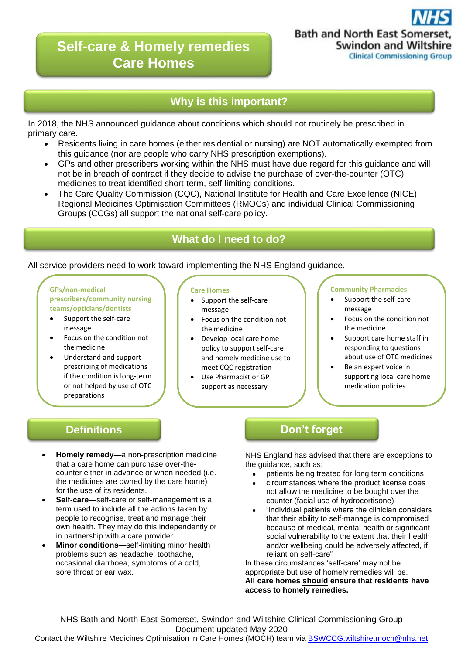# **Self-care & Homely remedies Care Homes**



## **Why is this important?**

In 2018, the NHS announced guidance about conditions which should not routinely be prescribed in primary care.

- Residents living in care homes (either residential or nursing) are NOT automatically exempted from this guidance (nor are people who carry NHS prescription exemptions).
- GPs and other prescribers working within the NHS must have due regard for this guidance and will not be in breach of contract if they decide to advise the purchase of over-the-counter (OTC) medicines to treat identified short-term, self-limiting conditions.
- The Care Quality Commission (CQC), National Institute for Health and Care Excellence (NICE), Regional Medicines Optimisation Committees (RMOCs) and individual Clinical Commissioning Groups (CCGs) all support the national self-care policy.

## **What do I need to do?**

### All service providers need to work toward implementing the NHS England guidance.

**GPs/non-medical prescribers/community nursing teams/opticians/dentists**

- Support the self-care message
- Focus on the condition not the medicine
- Understand and support prescribing of medications if the condition is long-term or not helped by use of OTC preparations

#### **Care Homes**

- Support the self-care message
- Focus on the condition not the medicine
- Develop local care home policy to support self-care and homely medicine use to meet CQC registration
	- Use Pharmacist or GP support as necessary

#### **Community Pharmacies**

- Support the self-care message
- Focus on the condition not the medicine
- Support care home staff in responding to questions about use of OTC medicines
- Be an expert voice in supporting local care home medication policies

- **Homely remedy**—a non-prescription medicine that a care home can purchase over-thecounter either in advance or when needed (i.e. the medicines are owned by the care home) for the use of its residents.
- **Self-care**—self-care or self-management is a term used to include all the actions taken by people to recognise, treat and manage their own health. They may do this independently or in partnership with a care provider.
- **Minor conditions**—self-limiting minor health problems such as headache, toothache, occasional diarrhoea, symptoms of a cold, sore throat or ear wax.

## **Definitions and Don't forget**

NHS England has advised that there are exceptions to the quidance, such as:

- patients being treated for long term conditions
- circumstances where the product license does not allow the medicine to be bought over the counter (facial use of hydrocortisone)
- "individual patients where the clinician considers that their ability to self-manage is compromised because of medical, mental health or significant social vulnerability to the extent that their health and/or wellbeing could be adversely affected, if reliant on self-care"

In these circumstances 'self-care' may not be appropriate but use of homely remedies will be. **All care homes should ensure that residents have access to homely remedies.**

NHS Bath and North East Somerset, Swindon and Wiltshire Clinical Commissioning Group Document updated May 2020

Contact the Wiltshire Medicines Optimisation in Care Homes (MOCH) team via [BSWCCG.wiltshire.moch@nhs.net](mailto:BSWCCG.wiltshire.moch@nhs.net)